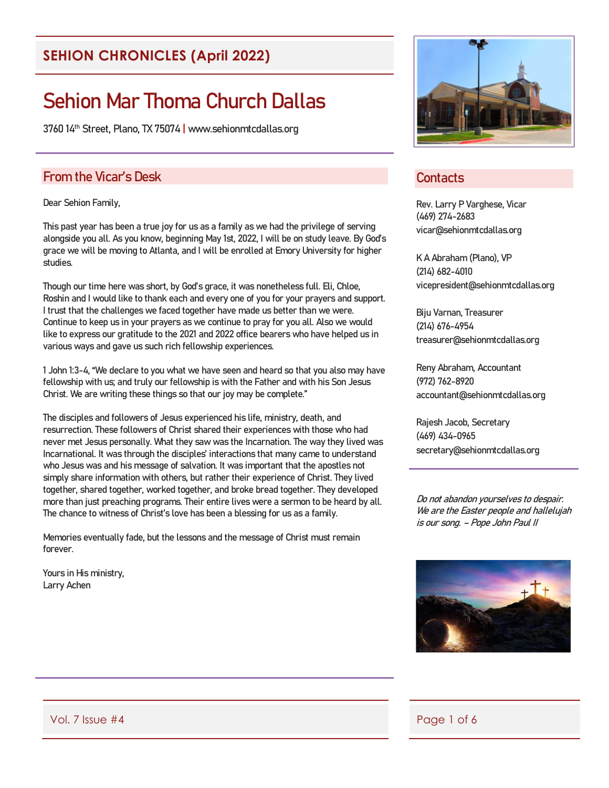## **SEHION CHRONICLES (April 2022)**

# Sehion Mar Thoma Church Dallas

3760 14th Street, Plano, TX 75074 | www.sehionmtcdallas.org

#### From the Vicar's Desk

Dear Sehion Family,

This past year has been a true joy for us as a family as we had the privilege of serving alongside you all. As you know, beginning May 1st, 2022, I will be on study leave. By God's grace we will be moving to Atlanta, and I will be enrolled at Emory University for higher studies.

Though our time here was short, by God's grace, it was nonetheless full. Eli, Chloe, Roshin and I would like to thank each and every one of you for your prayers and support. I trust that the challenges we faced together have made us better than we were. Continue to keep us in your prayers as we continue to pray for you all. Also we would like to express our gratitude to the 2021 and 2022 office bearers who have helped us in various ways and gave us such rich fellowship experiences.

1 John 1:3-4, "We declare to you what we have seen and heard so that you also may have fellowship with us; and truly our fellowship is with the Father and with his Son Jesus Christ. We are writing these things so that our joy may be complete."

The disciples and followers of Jesus experienced his life, ministry, death, and resurrection. These followers of Christ shared their experiences with those who had never met Jesus personally. What they saw was the Incarnation. The way they lived was Incarnational. It was through the disciples' interactions that many came to understand who Jesus was and his message of salvation. It was important that the apostles not simply share information with others, but rather their experience of Christ. They lived together, shared together, worked together, and broke bread together. They developed more than just preaching programs. Their entire lives were a sermon to be heard by all. The chance to witness of Christ's love has been a blessing for us as a family.

Memories eventually fade, but the lessons and the message of Christ must remain forever.

Yours in His ministry, Larry Achen



#### **Contacts**

Rev. Larry P Varghese, Vicar (469) 274-2683 vicar@sehionmtcdallas.org

K A Abraham (Plano), VP (214) 682-4010 vicepresident@sehionmtcdallas.org

Biju Varnan, Treasurer (214) 676-4954 treasurer@sehionmtcdallas.org

Reny Abraham, Accountant (972) 762-8920 accountant@sehionmtcdallas.org

Rajesh Jacob, Secretary (469) 434-0965 secretary@sehionmtcdallas.org

Do not abandon yourselves to despair. We are the Easter people and hallelujah is our song. – Pope John Paul II



Vol. 7 Issue #4 Page 1 of 6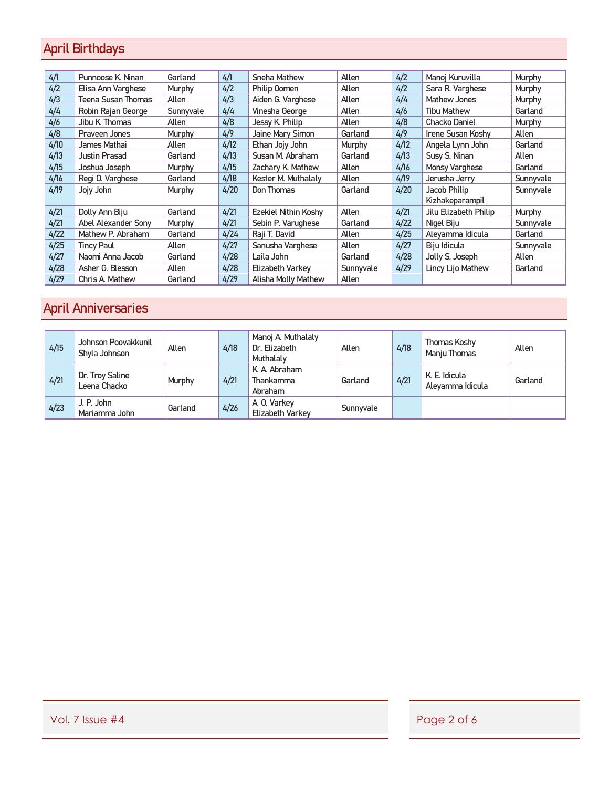# April Birthdays

| 4/1  | Punnoose K. Ninan   | Garland   | 4/1  | Sneha Mathew                | Allen     | 4/2  | Manoj Kuruvilla       | <b>Murphy</b> |
|------|---------------------|-----------|------|-----------------------------|-----------|------|-----------------------|---------------|
| 4/2  | Elisa Ann Varghese  | Murphy    | 4/2  | Philip Oomen                | Allen     | 4/2  | Sara R. Varghese      | <b>Murphy</b> |
| 4/3  | Teena Susan Thomas  | Allen     | 4/3  | Aiden G. Varghese           | Allen     | 4/4  | Mathew Jones          | <b>Murphy</b> |
| 4/4  | Robin Rajan George  | Sunnyvale | 4/4  | Vinesha George              | Allen     | 4/6  | <b>Tibu Mathew</b>    | Garland       |
| 4/6  | Jibu K Thomas       | Allen     | 4/8  | Jessy K. Philip             | Allen     | 4/8  | Chacko Daniel         | Murphy        |
| 4/8  | Praveen Jones       | Murphy    | 4/9  | Jaine Mary Simon            | Garland   | 4/9  | Irene Susan Koshy     | Allen         |
| 4/10 | James Mathai        | Allen     | 4/12 | Ethan Jojy John             | Murphy    | 4/12 | Angela Lynn John      | Garland       |
| 4/13 | Justin Prasad       | Garland   | 4/13 | Susan M. Abraham            | Garland   | 4/13 | Susy S. Ninan         | Allen         |
| 4/15 | Joshua Joseph       | Murphy    | 4/15 | Zachary K. Mathew           | Allen     | 4/16 | Monsy Varghese        | Garland       |
| 4/16 | Regi O. Varghese    | Garland   | 4/18 | Kester M. Muthalaly         | Allen     | 4/19 | Jerusha Jerry         | Sunnyvale     |
| 4/19 | Jojy John           | Murphy    | 4/20 | Don Thomas                  | Garland   | 4/20 | Jacob Philip          | Sunnyvale     |
|      |                     |           |      |                             |           |      | Kizhakeparampil       |               |
| 4/21 | Dolly Ann Biju      | Garland   | 4/21 | <b>Ezekiel Nithin Koshy</b> | Allen     | 4/21 | Jilu Elizabeth Philip | Murphy        |
| 4/21 | Abel Alexander Sony | Murphy    | 4/21 | Sebin P. Varughese          | Garland   | 4/22 | Nigel Biju            | Sunnyvale     |
| 4/22 | Mathew P. Abraham   | Garland   | 4/24 | Raji T. David               | Allen     | 4/25 | Aleyamma Idicula      | Garland       |
| 4/25 | <b>Tincy Paul</b>   | Allen     | 4/27 | Sanusha Varghese            | Allen     | 4/27 | Biju Idicula          | Sunnyvale     |
| 4/27 | Naomi Anna Jacob    | Garland   | 4/28 | Laila John                  | Garland   | 4/28 | Jolly S. Joseph       | Allen         |
| 4/28 | Asher G. Blesson    | Allen     | 4/28 | Elizabeth Varkev            | Sunnyvale | 4/29 | Lincy Lijo Mathew     | Garland       |
| 4/29 | Chris A. Mathew     | Garland   | 4/29 | Alisha Molly Mathew         | Allen     |      |                       |               |

# April Anniversaries

| 4/15 | Johnson Poovakkunil<br>Shyla Johnson | Allen   | 4/18 | Manoj A. Muthalaly<br>Dr. Elizabeth<br>Muthalaly | Allen     | 4/18 | Thomas Koshy<br>Manju Thomas      | Allen   |
|------|--------------------------------------|---------|------|--------------------------------------------------|-----------|------|-----------------------------------|---------|
| 4/21 | Dr. Troy Saline<br>Leena Chacko      | Murphy  | 4/21 | K. A. Abraham<br>Thankamma<br>Abraham            | Garland   | 4/21 | K. E. Idicula<br>Aleyamma Idicula | Garland |
| 4/23 | J. P. John<br>Mariamma John          | Garland | 4/26 | A. O. Varkey<br>Elizabeth Varkey                 | Sunnyvale |      |                                   |         |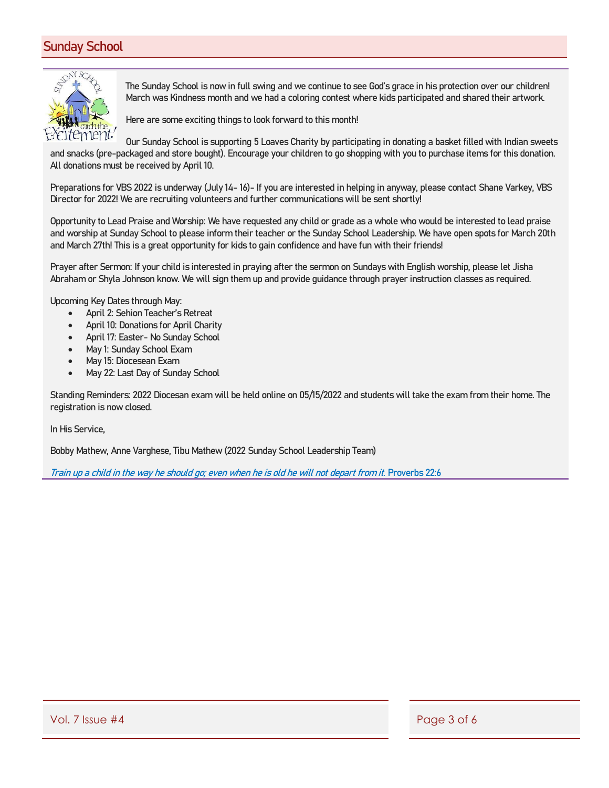#### Sunday School



The Sunday School is now in full swing and we continue to see God's grace in his protection over our children! March was Kindness month and we had a coloring contest where kids participated and shared their artwork.

Here are some exciting things to look forward to this month!

Our Sunday School is supporting 5 Loaves Charity by participating in donating a basket filled with Indian sweets and snacks (pre-packaged and store bought). Encourage your children to go shopping with you to purchase items for this donation. All donations must be received by April 10.

Preparations for VBS 2022 is underway (July 14- 16)- If you are interested in helping in anyway, please contact Shane Varkey, VBS Director for 2022! We are recruiting volunteers and further communications will be sent shortly!

Opportunity to Lead Praise and Worship: We have requested any child or grade as a whole who would be interested to lead praise and worship at Sunday School to please inform their teacher or the Sunday School Leadership. We have open spots for March 20th and March 27th! This is a great opportunity for kids to gain confidence and have fun with their friends!

Prayer after Sermon: If your child is interested in praying after the sermon on Sundays with English worship, please let Jisha Abraham or Shyla Johnson know. We will sign them up and provide guidance through prayer instruction classes as required.

Upcoming Key Dates through May:

- April 2: Sehion Teacher's Retreat
- April 10: Donations for April Charity
- April 17: Easter- No Sunday School
- May 1: Sunday School Exam
- May 15: Diocesean Exam
- May 22: Last Day of Sunday School

Standing Reminders: 2022 Diocesan exam will be held online on 05/15/2022 and students will take the exam from their home. The registration is now closed.

In His Service,

Bobby Mathew, Anne Varghese, Tibu Mathew (2022 Sunday School Leadership Team)

Train up a child in the way he should go; even when he is old he will not depart from it. Proverbs 22:6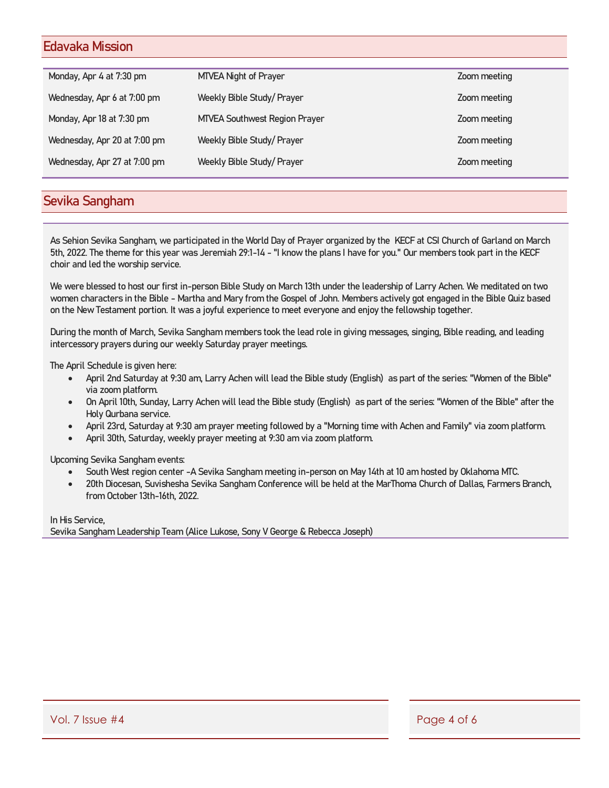#### Edavaka Mission

| Monday, Apr 4 at 7:30 pm     | <b>MTVEA Night of Prayer</b>         | Zoom meeting |
|------------------------------|--------------------------------------|--------------|
| Wednesday, Apr 6 at 7:00 pm  | Weekly Bible Study/ Prayer           | Zoom meeting |
| Monday, Apr 18 at 7:30 pm    | <b>MTVEA Southwest Region Prayer</b> | Zoom meeting |
| Wednesday, Apr 20 at 7:00 pm | Weekly Bible Study/ Prayer           | Zoom meeting |
| Wednesday, Apr 27 at 7:00 pm | Weekly Bible Study/ Prayer           | Zoom meeting |
|                              |                                      |              |

#### Sevika Sangham

As Sehion Sevika Sangham, we participated in the World Day of Prayer organized by the KECF at CSI Church of Garland on March 5th, 2022. The theme for this year was Jeremiah 29:1-14 - "I know the plans I have for you." Our members took part in the KECF choir and led the worship service.

We were blessed to host our first in-person Bible Study on March 13th under the leadership of Larry Achen. We meditated on two women characters in the Bible - Martha and Mary from the Gospel of John. Members actively got engaged in the Bible Quiz based on the New Testament portion. It was a joyful experience to meet everyone and enjoy the fellowship together.

During the month of March, Sevika Sangham members took the lead role in giving messages, singing, Bible reading, and leading intercessory prayers during our weekly Saturday prayer meetings.

The April Schedule is given here:

- April 2nd Saturday at 9:30 am, Larry Achen will lead the Bible study (English) as part of the series: "Women of the Bible" via zoom platform.
- On April 10th, Sunday, Larry Achen will lead the Bible study (English) as part of the series: "Women of the Bible" after the Holy Qurbana service.
- April 23rd, Saturday at 9:30 am prayer meeting followed by a "Morning time with Achen and Family" via zoom platform.
- April 30th, Saturday, weekly prayer meeting at 9:30 am via zoom platform.

Upcoming Sevika Sangham events:

- South West region center -A Sevika Sangham meeting in-person on May 14th at 10 am hosted by Oklahoma MTC.
- 20th Diocesan, Suvishesha Sevika Sangham Conference will be held at the MarThoma Church of Dallas, Farmers Branch, from October 13th-16th, 2022.

In His Service, Sevika Sangham Leadership Team (Alice Lukose, Sony V George & Rebecca Joseph)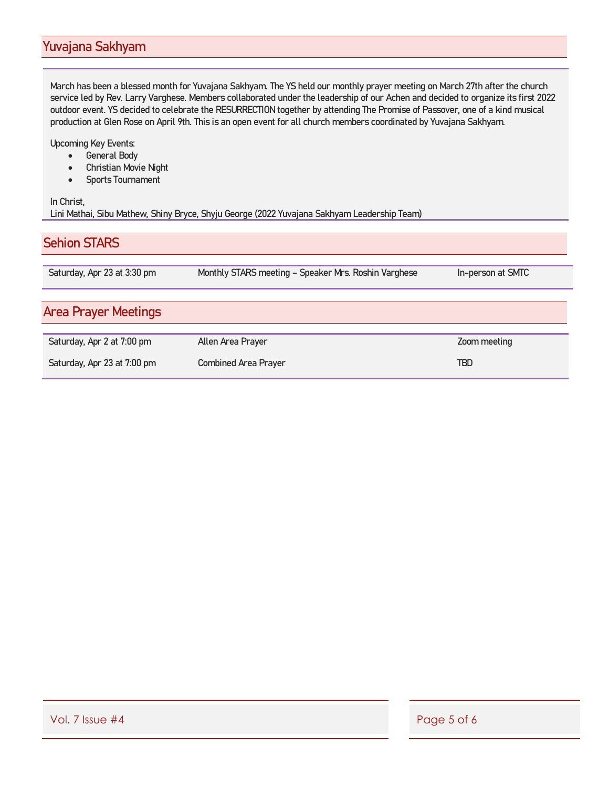### Yuvajana Sakhyam

March has been a blessed month for Yuvajana Sakhyam. The YS held our monthly prayer meeting on March 27th after the church service led by Rev. Larry Varghese. Members collaborated under the leadership of our Achen and decided to organize its first 2022 outdoor event. YS decided to celebrate the RESURRECTION together by attending The Promise of Passover, one of a kind musical production at Glen Rose on April 9th. This is an open event for all church members coordinated by Yuvajana Sakhyam.

Upcoming Key Events:

- General Body
- Christian Movie Night
- Sports Tournament

#### In Christ, Lini Mathai, Sibu Mathew, Shiny Bryce, Shyju George (2022 Yuvajana Sakhyam Leadership Team)

| <b>Sehion STARS</b>         |                                                      |                   |  |  |  |  |
|-----------------------------|------------------------------------------------------|-------------------|--|--|--|--|
| Saturday, Apr 23 at 3:30 pm | Monthly STARS meeting - Speaker Mrs. Roshin Varghese | In-person at SMTC |  |  |  |  |
| <b>Area Prayer Meetings</b> |                                                      |                   |  |  |  |  |
| Saturday, Apr 2 at 7:00 pm  | Allen Area Prayer                                    | Zoom meeting      |  |  |  |  |
| Saturday, Apr 23 at 7:00 pm | <b>Combined Area Prayer</b>                          | TBD               |  |  |  |  |